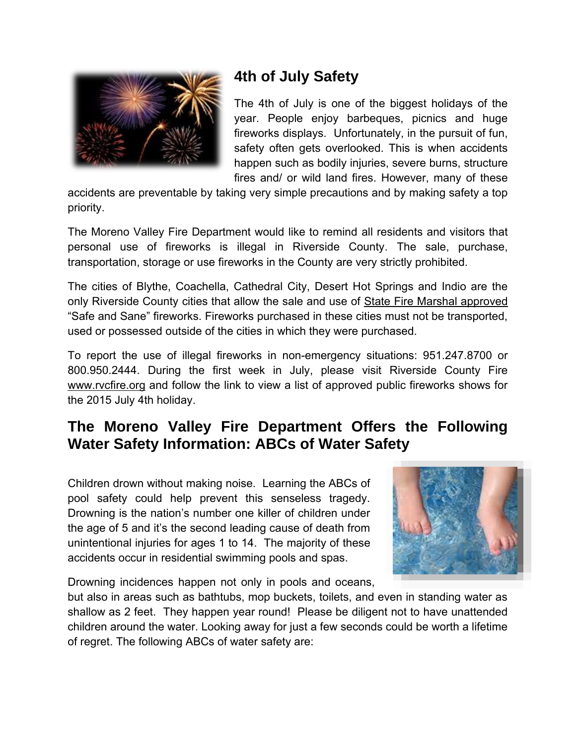

# **4th of July Safety**

The 4th of July is one of the biggest holidays of the year. People enjoy barbeques, picnics and huge fireworks displays. Unfortunately, in the pursuit of fun, safety often gets overlooked. This is when accidents happen such as bodily injuries, severe burns, structure fires and/ or wild land fires. However, many of these

accidents are preventable by taking very simple precautions and by making safety a top priority.

The Moreno Valley Fire Department would like to remind all residents and visitors that personal use of fireworks is illegal in Riverside County. The sale, purchase, transportation, storage or use fireworks in the County are very strictly prohibited.

The cities of Blythe, Coachella, Cathedral City, Desert Hot Springs and Indio are the only Riverside County cities that allow the sale and use of State Fire Marshal approved "Safe and Sane" fireworks. Fireworks purchased in these cities must not be transported, used or possessed outside of the cities in which they were purchased.

To report the use of illegal fireworks in non-emergency situations: 951.247.8700 or 800.950.2444. During the first week in July, please visit Riverside County Fire [www.rvcfire.org](http://www.rvcfire.org/) and follow the link to view a list of approved public fireworks shows for the 2015 July 4th holiday.

## **The Moreno Valley Fire Department Offers the Following Water Safety Information: ABCs of Water Safety**

Children drown without making noise. Learning the ABCs of pool safety could help prevent this senseless tragedy. Drowning is the nation's number one killer of children under the age of 5 and it's the second leading cause of death from unintentional injuries for ages 1 to 14. The majority of these accidents occur in residential swimming pools and spas.



Drowning incidences happen not only in pools and oceans,

but also in areas such as bathtubs, mop buckets, toilets, and even in standing water as shallow as 2 feet. They happen year round! Please be diligent not to have unattended children around the water. Looking away for just a few seconds could be worth a lifetime of regret. The following ABCs of water safety are: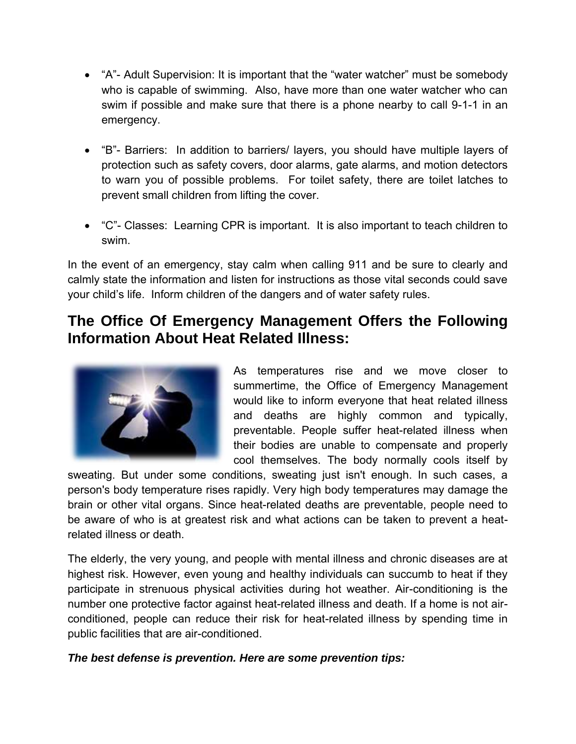- "A"- Adult Supervision: It is important that the "water watcher" must be somebody who is capable of swimming. Also, have more than one water watcher who can swim if possible and make sure that there is a phone nearby to call 9-1-1 in an emergency.
- "B"- Barriers: In addition to barriers/ layers, you should have multiple layers of protection such as safety covers, door alarms, gate alarms, and motion detectors to warn you of possible problems. For toilet safety, there are toilet latches to prevent small children from lifting the cover.
- "C"- Classes: Learning CPR is important. It is also important to teach children to swim.

In the event of an emergency, stay calm when calling 911 and be sure to clearly and calmly state the information and listen for instructions as those vital seconds could save your child's life. Inform children of the dangers and of water safety rules.

## **The Office Of Emergency Management Offers the Following Information About Heat Related Illness:**



As temperatures rise and we move closer to summertime, the Office of Emergency Management would like to inform everyone that heat related illness and deaths are highly common and typically, preventable. People suffer heat-related illness when their bodies are unable to compensate and properly cool themselves. The body normally cools itself by

sweating. But under some conditions, sweating just isn't enough. In such cases, a person's body temperature rises rapidly. Very high body temperatures may damage the brain or other vital organs. Since heat-related deaths are preventable, people need to be aware of who is at greatest risk and what actions can be taken to prevent a heatrelated illness or death.

The elderly, the very young, and people with mental illness and chronic diseases are at highest risk. However, even young and healthy individuals can succumb to heat if they participate in strenuous physical activities during hot weather. Air-conditioning is the number one protective factor against heat-related illness and death. If a home is not airconditioned, people can reduce their risk for heat-related illness by spending time in public facilities that are air-conditioned.

#### *The best defense is prevention. Here are some prevention tips:*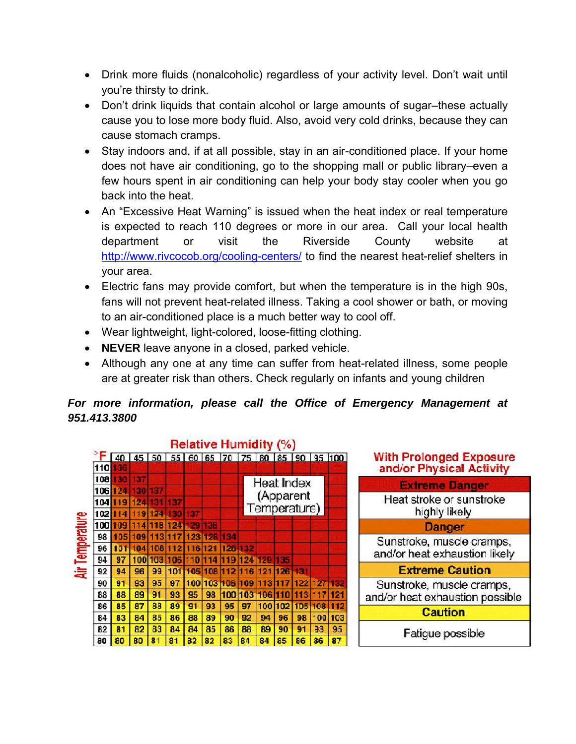- Drink more fluids (nonalcoholic) regardless of your activity level. Don't wait until you're thirsty to drink.
- Don't drink liquids that contain alcohol or large amounts of sugar–these actually cause you to lose more body fluid. Also, avoid very cold drinks, because they can cause stomach cramps.
- Stay indoors and, if at all possible, stay in an air-conditioned place. If your home does not have air conditioning, go to the shopping mall or public library–even a few hours spent in air conditioning can help your body stay cooler when you go back into the heat.
- An "Excessive Heat Warning" is issued when the heat index or real temperature is expected to reach 110 degrees or more in our area. Call your local health department or visit the Riverside County website at <http://www.rivcocob.org/cooling-centers/>to find the nearest heat-relief shelters in your area.
- Electric fans may provide comfort, but when the temperature is in the high 90s, fans will not prevent heat-related illness. Taking a cool shower or bath, or moving to an air-conditioned place is a much better way to cool off.
- Wear lightweight, light-colored, loose-fitting clothing.
- **NEVER** leave anyone in a closed, parked vehicle.
- Although any one at any time can suffer from heat-related illness, some people are at greater risk than others. Check regularly on infants and young children

### *For more information, please call the Office of Emergency Management at 951.413.3800*